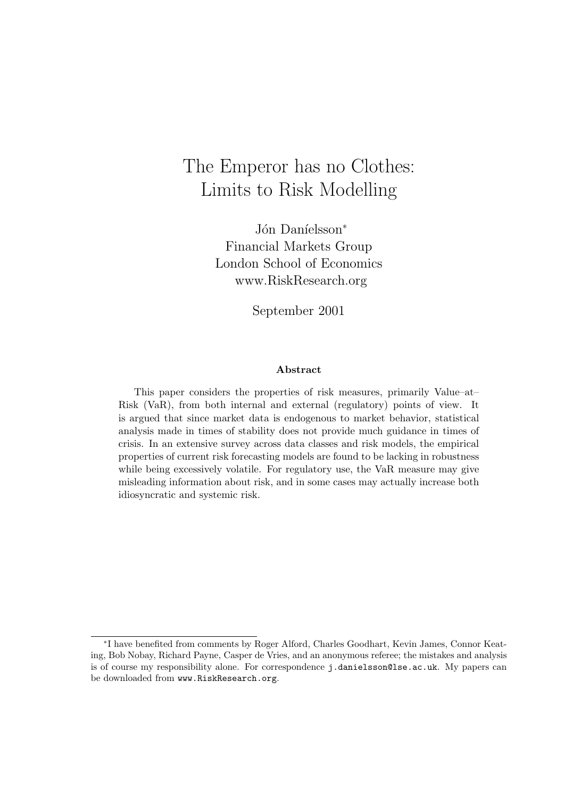# The Emperor has no Clothes: Limits to Risk Modelling

Jón Daníelsson<sup>\*</sup> Financial Markets Group London School of Economics www.RiskResearch.org

September 2001

#### **Abstract**

This paper considers the properties of risk measures, primarily Value–at– Risk (VaR), from both internal and external (regulatory) points of view. It is argued that since market data is endogenous to market behavior, statistical analysis made in times of stability does not provide much guidance in times of crisis. In an extensive survey across data classes and risk models, the empirical properties of current risk forecasting models are found to be lacking in robustness while being excessively volatile. For regulatory use, the VaR measure may give misleading information about risk, and in some cases may actually increase both idiosyncratic and systemic risk.

<sup>∗</sup>I have benefited from comments by Roger Alford, Charles Goodhart, Kevin James, Connor Keating, Bob Nobay, Richard Payne, Casper de Vries, and an anonymous referee; the mistakes and analysis is of course my responsibility alone. For correspondence j.danielsson@lse.ac.uk. My papers can be downloaded from www.RiskResearch.org.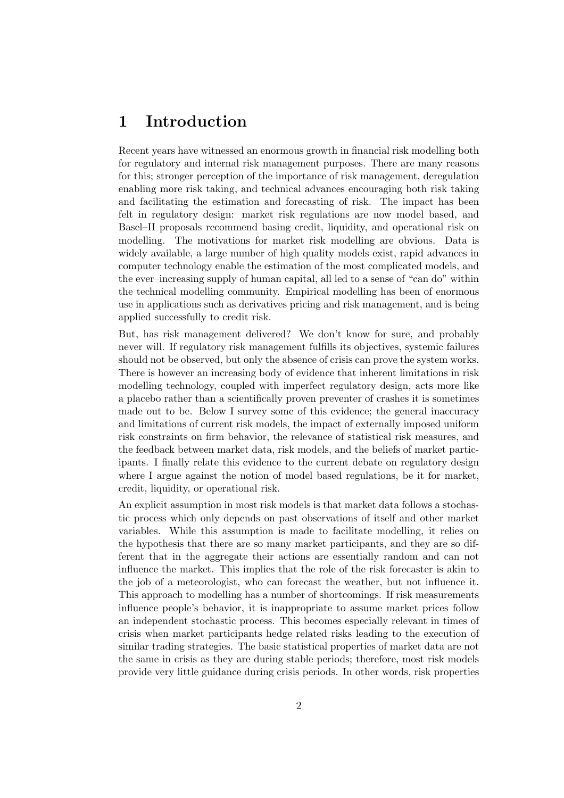# **1 Introduction**

Recent years have witnessed an enormous growth in financial risk modelling both for regulatory and internal risk management purposes. There are many reasons for this; stronger perception of the importance of risk management, deregulation enabling more risk taking, and technical advances encouraging both risk taking and facilitating the estimation and forecasting of risk. The impact has been felt in regulatory design: market risk regulations are now model based, and Basel–II proposals recommend basing credit, liquidity, and operational risk on modelling. The motivations for market risk modelling are obvious. Data is widely available, a large number of high quality models exist, rapid advances in computer technology enable the estimation of the most complicated models, and the ever–increasing supply of human capital, all led to a sense of "can do" within the technical modelling community. Empirical modelling has been of enormous use in applications such as derivatives pricing and risk management, and is being applied successfully to credit risk.

But, has risk management delivered? We don't know for sure, and probably never will. If regulatory risk management fulfills its objectives, systemic failures should not be observed, but only the absence of crisis can prove the system works. There is however an increasing body of evidence that inherent limitations in risk modelling technology, coupled with imperfect regulatory design, acts more like a placebo rather than a scientifically proven preventer of crashes it is sometimes made out to be. Below I survey some of this evidence; the general inaccuracy and limitations of current risk models, the impact of externally imposed uniform risk constraints on firm behavior, the relevance of statistical risk measures, and the feedback between market data, risk models, and the beliefs of market participants. I finally relate this evidence to the current debate on regulatory design where I argue against the notion of model based regulations, be it for market, credit, liquidity, or operational risk.

An explicit assumption in most risk models is that market data follows a stochastic process which only depends on past observations of itself and other market variables. While this assumption is made to facilitate modelling, it relies on the hypothesis that there are so many market participants, and they are so different that in the aggregate their actions are essentially random and can not influence the market. This implies that the role of the risk forecaster is akin to the job of a meteorologist, who can forecast the weather, but not influence it. This approach to modelling has a number of shortcomings. If risk measurements influence people's behavior, it is inappropriate to assume market prices follow an independent stochastic process. This becomes especially relevant in times of crisis when market participants hedge related risks leading to the execution of similar trading strategies. The basic statistical properties of market data are not the same in crisis as they are during stable periods; therefore, most risk models provide very little guidance during crisis periods. In other words, risk properties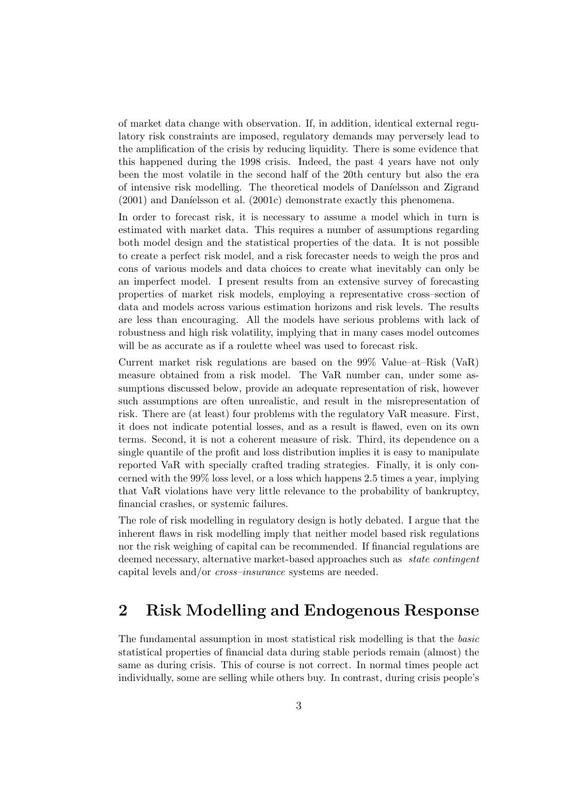of market data change with observation. If, in addition, identical external regulatory risk constraints are imposed, regulatory demands may perversely lead to the amplification of the crisis by reducing liquidity. There is some evidence that this happened during the 1998 crisis. Indeed, the past 4 years have not only been the most volatile in the second half of the 20th century but also the era of intensive risk modelling. The theoretical models of Daníelsson and Zigrand  $(2001)$  and Daníelsson et al.  $(2001c)$  demonstrate exactly this phenomena.

In order to forecast risk, it is necessary to assume a model which in turn is estimated with market data. This requires a number of assumptions regarding both model design and the statistical properties of the data. It is not possible to create a perfect risk model, and a risk forecaster needs to weigh the pros and cons of various models and data choices to create what inevitably can only be an imperfect model. I present results from an extensive survey of forecasting properties of market risk models, employing a representative cross–section of data and models across various estimation horizons and risk levels. The results are less than encouraging. All the models have serious problems with lack of robustness and high risk volatility, implying that in many cases model outcomes will be as accurate as if a roulette wheel was used to forecast risk.

Current market risk regulations are based on the 99% Value–at–Risk (VaR) measure obtained from a risk model. The VaR number can, under some assumptions discussed below, provide an adequate representation of risk, however such assumptions are often unrealistic, and result in the misrepresentation of risk. There are (at least) four problems with the regulatory VaR measure. First, it does not indicate potential losses, and as a result is flawed, even on its own terms. Second, it is not a coherent measure of risk. Third, its dependence on a single quantile of the profit and loss distribution implies it is easy to manipulate reported VaR with specially crafted trading strategies. Finally, it is only concerned with the 99% loss level, or a loss which happens 2.5 times a year, implying that VaR violations have very little relevance to the probability of bankruptcy, financial crashes, or systemic failures.

The role of risk modelling in regulatory design is hotly debated. I argue that the inherent flaws in risk modelling imply that neither model based risk regulations nor the risk weighing of capital can be recommended. If financial regulations are deemed necessary, alternative market-based approaches such as *state contingent* capital levels and/or *cross–insurance* systems are needed.

### **2 Risk Modelling and Endogenous Response**

The fundamental assumption in most statistical risk modelling is that the *basic* statistical properties of financial data during stable periods remain (almost) the same as during crisis. This of course is not correct. In normal times people act individually, some are selling while others buy. In contrast, during crisis people's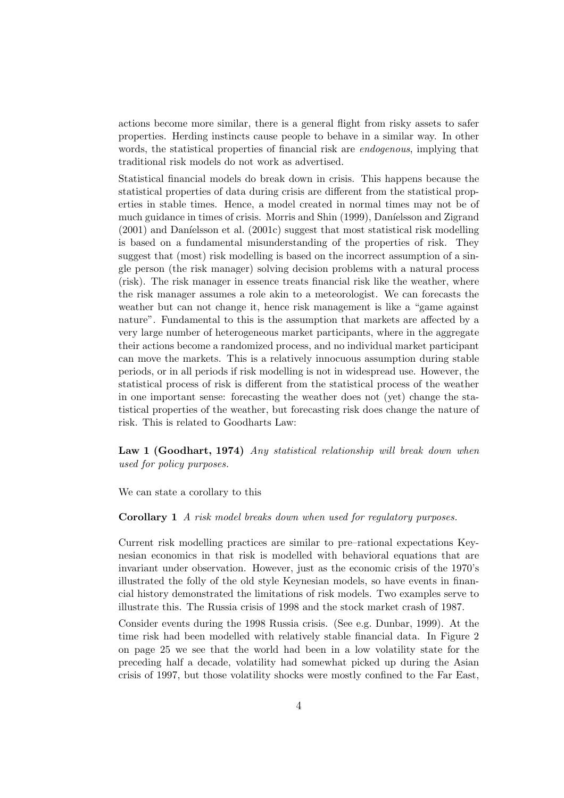actions become more similar, there is a general flight from risky assets to safer properties. Herding instincts cause people to behave in a similar way. In other words, the statistical properties of financial risk are *endogenous*, implying that traditional risk models do not work as advertised.

Statistical financial models do break down in crisis. This happens because the statistical properties of data during crisis are different from the statistical properties in stable times. Hence, a model created in normal times may not be of much guidance in times of crisis. Morris and Shin (1999), Daníelsson and Zigrand  $(2001)$  and Daníelsson et al.  $(2001c)$  suggest that most statistical risk modelling is based on a fundamental misunderstanding of the properties of risk. They suggest that (most) risk modelling is based on the incorrect assumption of a single person (the risk manager) solving decision problems with a natural process (risk). The risk manager in essence treats financial risk like the weather, where the risk manager assumes a role akin to a meteorologist. We can forecasts the weather but can not change it, hence risk management is like a "game against nature". Fundamental to this is the assumption that markets are affected by a very large number of heterogeneous market participants, where in the aggregate their actions become a randomized process, and no individual market participant can move the markets. This is a relatively innocuous assumption during stable periods, or in all periods if risk modelling is not in widespread use. However, the statistical process of risk is different from the statistical process of the weather in one important sense: forecasting the weather does not (yet) change the statistical properties of the weather, but forecasting risk does change the nature of risk. This is related to Goodharts Law:

**Law 1 (Goodhart, 1974)** *Any statistical relationship will break down when used for policy purposes.*

We can state a corollary to this

**Corollary 1** *A risk model breaks down when used for regulatory purposes.*

Current risk modelling practices are similar to pre–rational expectations Keynesian economics in that risk is modelled with behavioral equations that are invariant under observation. However, just as the economic crisis of the 1970's illustrated the folly of the old style Keynesian models, so have events in financial history demonstrated the limitations of risk models. Two examples serve to illustrate this. The Russia crisis of 1998 and the stock market crash of 1987.

Consider events during the 1998 Russia crisis. (See e.g. Dunbar, 1999). At the time risk had been modelled with relatively stable financial data. In Figure 2 on page 25 we see that the world had been in a low volatility state for the preceding half a decade, volatility had somewhat picked up during the Asian crisis of 1997, but those volatility shocks were mostly confined to the Far East,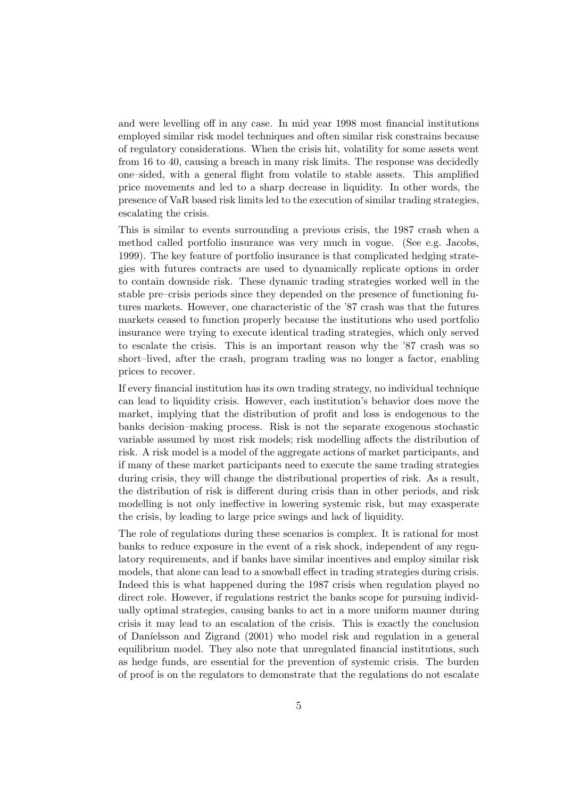and were levelling off in any case. In mid year 1998 most financial institutions employed similar risk model techniques and often similar risk constrains because of regulatory considerations. When the crisis hit, volatility for some assets went from 16 to 40, causing a breach in many risk limits. The response was decidedly one–sided, with a general flight from volatile to stable assets. This amplified price movements and led to a sharp decrease in liquidity. In other words, the presence of VaR based risk limits led to the execution of similar trading strategies, escalating the crisis.

This is similar to events surrounding a previous crisis, the 1987 crash when a method called portfolio insurance was very much in vogue. (See e.g. Jacobs, 1999). The key feature of portfolio insurance is that complicated hedging strategies with futures contracts are used to dynamically replicate options in order to contain downside risk. These dynamic trading strategies worked well in the stable pre–crisis periods since they depended on the presence of functioning futures markets. However, one characteristic of the '87 crash was that the futures markets ceased to function properly because the institutions who used portfolio insurance were trying to execute identical trading strategies, which only served to escalate the crisis. This is an important reason why the '87 crash was so short–lived, after the crash, program trading was no longer a factor, enabling prices to recover.

If every financial institution has its own trading strategy, no individual technique can lead to liquidity crisis. However, each institution's behavior does move the market, implying that the distribution of profit and loss is endogenous to the banks decision–making process. Risk is not the separate exogenous stochastic variable assumed by most risk models; risk modelling affects the distribution of risk. A risk model is a model of the aggregate actions of market participants, and if many of these market participants need to execute the same trading strategies during crisis, they will change the distributional properties of risk. As a result, the distribution of risk is different during crisis than in other periods, and risk modelling is not only ineffective in lowering systemic risk, but may exasperate the crisis, by leading to large price swings and lack of liquidity.

The role of regulations during these scenarios is complex. It is rational for most banks to reduce exposure in the event of a risk shock, independent of any regulatory requirements, and if banks have similar incentives and employ similar risk models, that alone can lead to a snowball effect in trading strategies during crisis. Indeed this is what happened during the 1987 crisis when regulation played no direct role. However, if regulations restrict the banks scope for pursuing individually optimal strategies, causing banks to act in a more uniform manner during crisis it may lead to an escalation of the crisis. This is exactly the conclusion of Daníelsson and Zigrand (2001) who model risk and regulation in a general equilibrium model. They also note that unregulated financial institutions, such as hedge funds, are essential for the prevention of systemic crisis. The burden of proof is on the regulators to demonstrate that the regulations do not escalate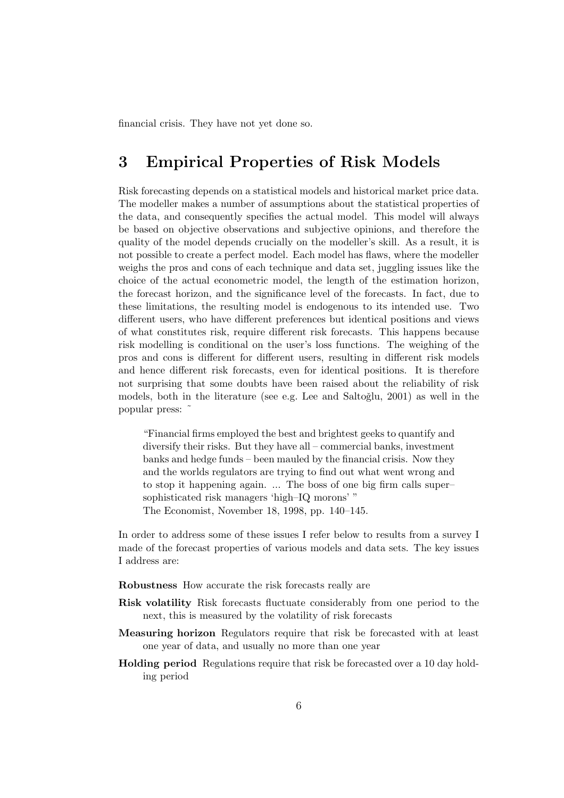financial crisis. They have not yet done so.

# **3 Empirical Properties of Risk Models**

Risk forecasting depends on a statistical models and historical market price data. The modeller makes a number of assumptions about the statistical properties of the data, and consequently specifies the actual model. This model will always be based on objective observations and subjective opinions, and therefore the quality of the model depends crucially on the modeller's skill. As a result, it is not possible to create a perfect model. Each model has flaws, where the modeller weighs the pros and cons of each technique and data set, juggling issues like the choice of the actual econometric model, the length of the estimation horizon, the forecast horizon, and the significance level of the forecasts. In fact, due to these limitations, the resulting model is endogenous to its intended use. Two different users, who have different preferences but identical positions and views of what constitutes risk, require different risk forecasts. This happens because risk modelling is conditional on the user's loss functions. The weighing of the pros and cons is different for different users, resulting in different risk models and hence different risk forecasts, even for identical positions. It is therefore not surprising that some doubts have been raised about the reliability of risk models, both in the literature (see e.g. Lee and Saltoğlu,  $2001$ ) as well in the popular press: ˜

"Financial firms employed the best and brightest geeks to quantify and diversify their risks. But they have all – commercial banks, investment banks and hedge funds – been mauled by the financial crisis. Now they and the worlds regulators are trying to find out what went wrong and to stop it happening again. ... The boss of one big firm calls super– sophisticated risk managers 'high–IQ morons' "

The Economist, November 18, 1998, pp. 140–145.

In order to address some of these issues I refer below to results from a survey I made of the forecast properties of various models and data sets. The key issues I address are:

**Robustness** How accurate the risk forecasts really are

- **Risk volatility** Risk forecasts fluctuate considerably from one period to the next, this is measured by the volatility of risk forecasts
- **Measuring horizon** Regulators require that risk be forecasted with at least one year of data, and usually no more than one year
- **Holding period** Regulations require that risk be forecasted over a 10 day holding period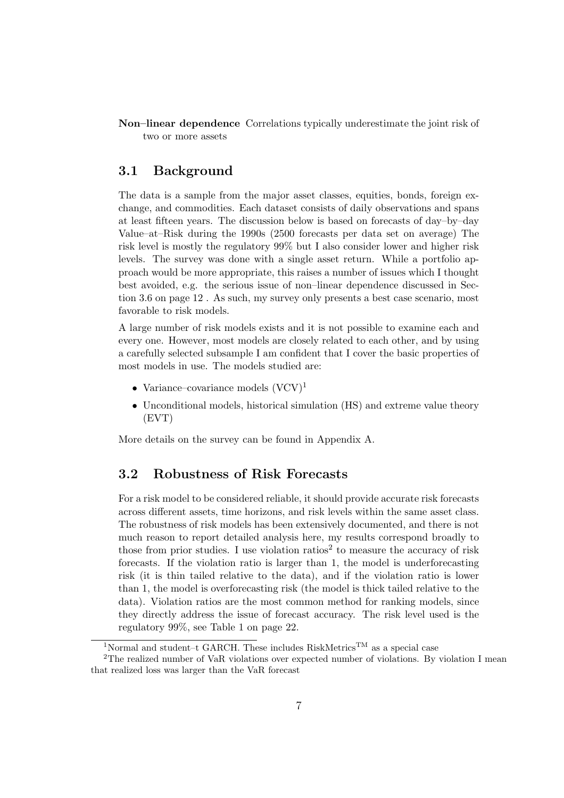**Non–linear dependence** Correlations typically underestimate the joint risk of two or more assets

#### **3.1 Background**

The data is a sample from the major asset classes, equities, bonds, foreign exchange, and commodities. Each dataset consists of daily observations and spans at least fifteen years. The discussion below is based on forecasts of day–by–day Value–at–Risk during the 1990s (2500 forecasts per data set on average) The risk level is mostly the regulatory 99% but I also consider lower and higher risk levels. The survey was done with a single asset return. While a portfolio approach would be more appropriate, this raises a number of issues which I thought best avoided, e.g. the serious issue of non–linear dependence discussed in Section 3.6 on page 12 . As such, my survey only presents a best case scenario, most favorable to risk models.

A large number of risk models exists and it is not possible to examine each and every one. However, most models are closely related to each other, and by using a carefully selected subsample I am confident that I cover the basic properties of most models in use. The models studied are:

- Variance–covariance models  $(VCV)^1$
- Unconditional models, historical simulation (HS) and extreme value theory (EVT)

More details on the survey can be found in Appendix A.

#### **3.2 Robustness of Risk Forecasts**

For a risk model to be considered reliable, it should provide accurate risk forecasts across different assets, time horizons, and risk levels within the same asset class. The robustness of risk models has been extensively documented, and there is not much reason to report detailed analysis here, my results correspond broadly to those from prior studies. I use violation ratios<sup>2</sup> to measure the accuracy of risk forecasts. If the violation ratio is larger than 1, the model is underforecasting risk (it is thin tailed relative to the data), and if the violation ratio is lower than 1, the model is overforecasting risk (the model is thick tailed relative to the data). Violation ratios are the most common method for ranking models, since they directly address the issue of forecast accuracy. The risk level used is the regulatory 99%, see Table 1 on page 22.

<sup>&</sup>lt;sup>1</sup>Normal and student–t GARCH. These includes RiskMetrics<sup>TM</sup> as a special case

<sup>2</sup>The realized number of VaR violations over expected number of violations. By violation I mean that realized loss was larger than the VaR forecast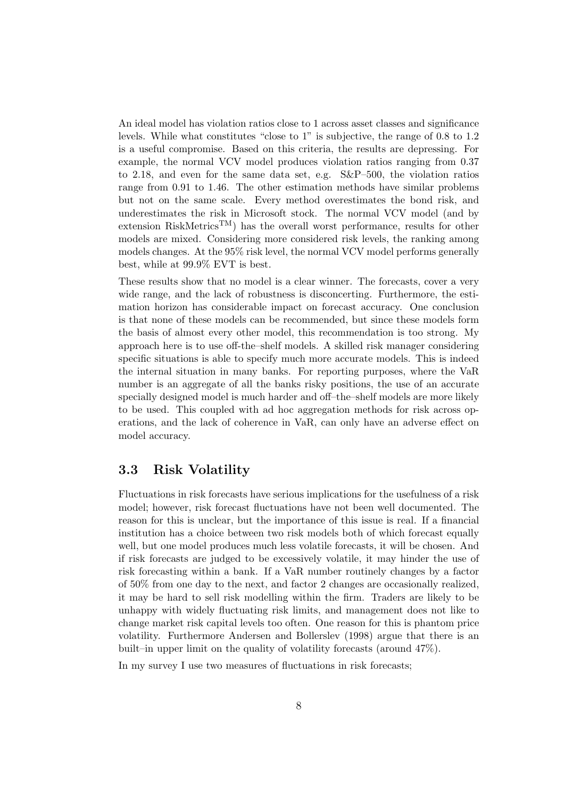An ideal model has violation ratios close to 1 across asset classes and significance levels. While what constitutes "close to 1" is subjective, the range of 0.8 to 1.2 is a useful compromise. Based on this criteria, the results are depressing. For example, the normal VCV model produces violation ratios ranging from 0.37 to 2.18, and even for the same data set, e.g. S&P–500, the violation ratios range from 0.91 to 1.46. The other estimation methods have similar problems but not on the same scale. Every method overestimates the bond risk, and underestimates the risk in Microsoft stock. The normal VCV model (and by extension RiskMetrics<sup>TM</sup>) has the overall worst performance, results for other models are mixed. Considering more considered risk levels, the ranking among models changes. At the 95% risk level, the normal VCV model performs generally best, while at 99.9% EVT is best.

These results show that no model is a clear winner. The forecasts, cover a very wide range, and the lack of robustness is disconcerting. Furthermore, the estimation horizon has considerable impact on forecast accuracy. One conclusion is that none of these models can be recommended, but since these models form the basis of almost every other model, this recommendation is too strong. My approach here is to use off-the–shelf models. A skilled risk manager considering specific situations is able to specify much more accurate models. This is indeed the internal situation in many banks. For reporting purposes, where the VaR number is an aggregate of all the banks risky positions, the use of an accurate specially designed model is much harder and off–the–shelf models are more likely to be used. This coupled with ad hoc aggregation methods for risk across operations, and the lack of coherence in VaR, can only have an adverse effect on model accuracy.

#### **3.3 Risk Volatility**

Fluctuations in risk forecasts have serious implications for the usefulness of a risk model; however, risk forecast fluctuations have not been well documented. The reason for this is unclear, but the importance of this issue is real. If a financial institution has a choice between two risk models both of which forecast equally well, but one model produces much less volatile forecasts, it will be chosen. And if risk forecasts are judged to be excessively volatile, it may hinder the use of risk forecasting within a bank. If a VaR number routinely changes by a factor of 50% from one day to the next, and factor 2 changes are occasionally realized, it may be hard to sell risk modelling within the firm. Traders are likely to be unhappy with widely fluctuating risk limits, and management does not like to change market risk capital levels too often. One reason for this is phantom price volatility. Furthermore Andersen and Bollerslev (1998) argue that there is an built–in upper limit on the quality of volatility forecasts (around 47%).

In my survey I use two measures of fluctuations in risk forecasts;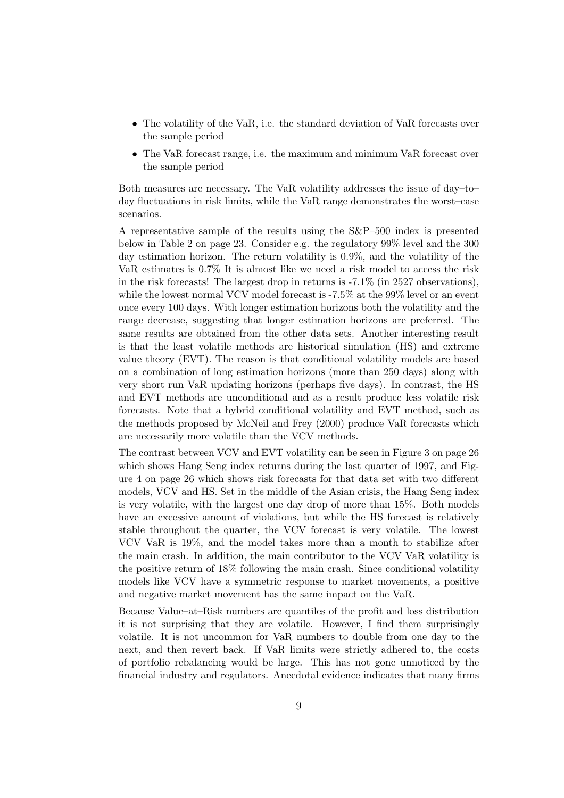- The volatility of the VaR, i.e. the standard deviation of VaR forecasts over the sample period
- The VaR forecast range, i.e. the maximum and minimum VaR forecast over the sample period

Both measures are necessary. The VaR volatility addresses the issue of day–to– day fluctuations in risk limits, while the VaR range demonstrates the worst–case scenarios.

A representative sample of the results using the S&P–500 index is presented below in Table 2 on page 23. Consider e.g. the regulatory 99% level and the 300 day estimation horizon. The return volatility is 0.9%, and the volatility of the VaR estimates is 0.7% It is almost like we need a risk model to access the risk in the risk forecasts! The largest drop in returns is -7.1% (in 2527 observations), while the lowest normal VCV model forecast is -7.5% at the 99% level or an event once every 100 days. With longer estimation horizons both the volatility and the range decrease, suggesting that longer estimation horizons are preferred. The same results are obtained from the other data sets. Another interesting result is that the least volatile methods are historical simulation (HS) and extreme value theory (EVT). The reason is that conditional volatility models are based on a combination of long estimation horizons (more than 250 days) along with very short run VaR updating horizons (perhaps five days). In contrast, the HS and EVT methods are unconditional and as a result produce less volatile risk forecasts. Note that a hybrid conditional volatility and EVT method, such as the methods proposed by McNeil and Frey (2000) produce VaR forecasts which are necessarily more volatile than the VCV methods.

The contrast between VCV and EVT volatility can be seen in Figure 3 on page 26 which shows Hang Seng index returns during the last quarter of 1997, and Figure 4 on page 26 which shows risk forecasts for that data set with two different models, VCV and HS. Set in the middle of the Asian crisis, the Hang Seng index is very volatile, with the largest one day drop of more than 15%. Both models have an excessive amount of violations, but while the HS forecast is relatively stable throughout the quarter, the VCV forecast is very volatile. The lowest VCV VaR is 19%, and the model takes more than a month to stabilize after the main crash. In addition, the main contributor to the VCV VaR volatility is the positive return of 18% following the main crash. Since conditional volatility models like VCV have a symmetric response to market movements, a positive and negative market movement has the same impact on the VaR.

Because Value–at–Risk numbers are quantiles of the profit and loss distribution it is not surprising that they are volatile. However, I find them surprisingly volatile. It is not uncommon for VaR numbers to double from one day to the next, and then revert back. If VaR limits were strictly adhered to, the costs of portfolio rebalancing would be large. This has not gone unnoticed by the financial industry and regulators. Anecdotal evidence indicates that many firms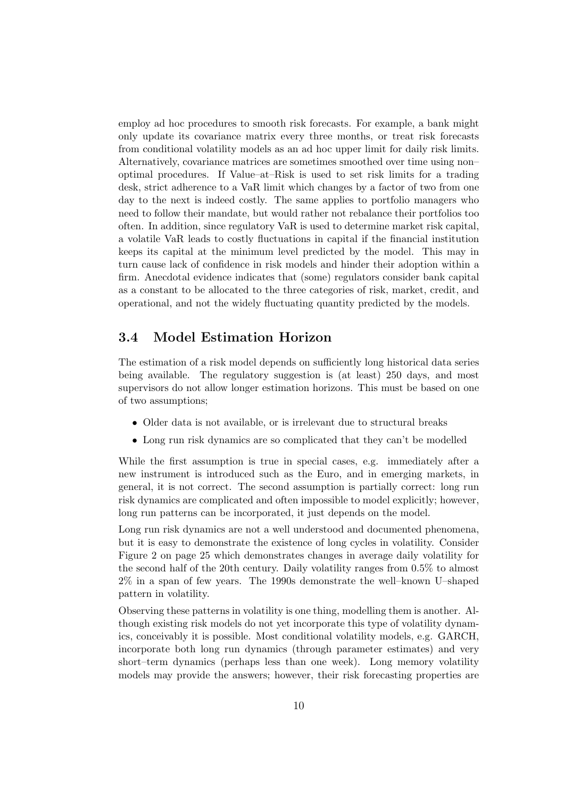employ ad hoc procedures to smooth risk forecasts. For example, a bank might only update its covariance matrix every three months, or treat risk forecasts from conditional volatility models as an ad hoc upper limit for daily risk limits. Alternatively, covariance matrices are sometimes smoothed over time using non– optimal procedures. If Value–at–Risk is used to set risk limits for a trading desk, strict adherence to a VaR limit which changes by a factor of two from one day to the next is indeed costly. The same applies to portfolio managers who need to follow their mandate, but would rather not rebalance their portfolios too often. In addition, since regulatory VaR is used to determine market risk capital, a volatile VaR leads to costly fluctuations in capital if the financial institution keeps its capital at the minimum level predicted by the model. This may in turn cause lack of confidence in risk models and hinder their adoption within a firm. Anecdotal evidence indicates that (some) regulators consider bank capital as a constant to be allocated to the three categories of risk, market, credit, and operational, and not the widely fluctuating quantity predicted by the models.

#### **3.4 Model Estimation Horizon**

The estimation of a risk model depends on sufficiently long historical data series being available. The regulatory suggestion is (at least) 250 days, and most supervisors do not allow longer estimation horizons. This must be based on one of two assumptions;

- Older data is not available, or is irrelevant due to structural breaks
- Long run risk dynamics are so complicated that they can't be modelled

While the first assumption is true in special cases, e.g. immediately after a new instrument is introduced such as the Euro, and in emerging markets, in general, it is not correct. The second assumption is partially correct: long run risk dynamics are complicated and often impossible to model explicitly; however, long run patterns can be incorporated, it just depends on the model.

Long run risk dynamics are not a well understood and documented phenomena, but it is easy to demonstrate the existence of long cycles in volatility. Consider Figure 2 on page 25 which demonstrates changes in average daily volatility for the second half of the 20th century. Daily volatility ranges from 0.5% to almost 2% in a span of few years. The 1990s demonstrate the well–known U–shaped pattern in volatility.

Observing these patterns in volatility is one thing, modelling them is another. Although existing risk models do not yet incorporate this type of volatility dynamics, conceivably it is possible. Most conditional volatility models, e.g. GARCH, incorporate both long run dynamics (through parameter estimates) and very short–term dynamics (perhaps less than one week). Long memory volatility models may provide the answers; however, their risk forecasting properties are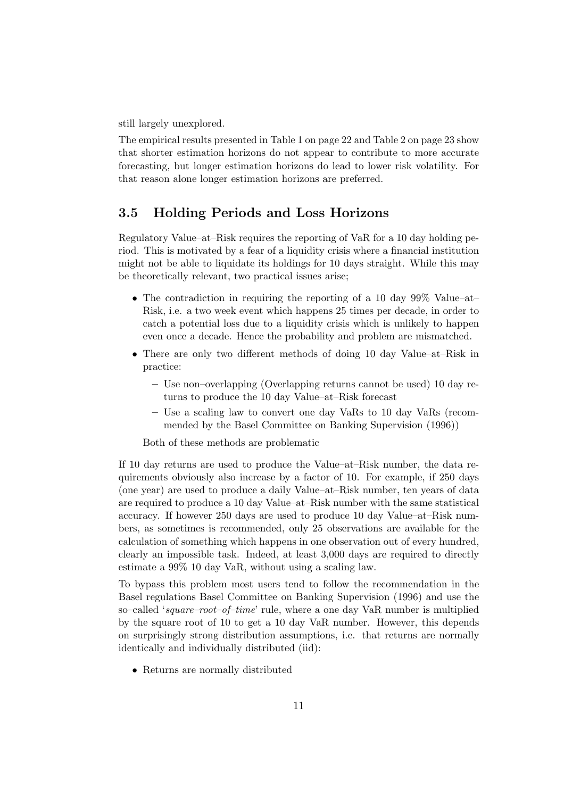still largely unexplored.

The empirical results presented in Table 1 on page 22 and Table 2 on page 23 show that shorter estimation horizons do not appear to contribute to more accurate forecasting, but longer estimation horizons do lead to lower risk volatility. For that reason alone longer estimation horizons are preferred.

#### **3.5 Holding Periods and Loss Horizons**

Regulatory Value–at–Risk requires the reporting of VaR for a 10 day holding period. This is motivated by a fear of a liquidity crisis where a financial institution might not be able to liquidate its holdings for 10 days straight. While this may be theoretically relevant, two practical issues arise;

- The contradiction in requiring the reporting of a 10 day 99% Value–at– Risk, i.e. a two week event which happens 25 times per decade, in order to catch a potential loss due to a liquidity crisis which is unlikely to happen even once a decade. Hence the probability and problem are mismatched.
- There are only two different methods of doing 10 day Value–at–Risk in practice:
	- **–** Use non–overlapping (Overlapping returns cannot be used) 10 day returns to produce the 10 day Value–at–Risk forecast
	- **–** Use a scaling law to convert one day VaRs to 10 day VaRs (recommended by the Basel Committee on Banking Supervision (1996))

Both of these methods are problematic

If 10 day returns are used to produce the Value–at–Risk number, the data requirements obviously also increase by a factor of 10. For example, if 250 days (one year) are used to produce a daily Value–at–Risk number, ten years of data are required to produce a 10 day Value–at–Risk number with the same statistical accuracy. If however 250 days are used to produce 10 day Value–at–Risk numbers, as sometimes is recommended, only 25 observations are available for the calculation of something which happens in one observation out of every hundred, clearly an impossible task. Indeed, at least 3,000 days are required to directly estimate a 99% 10 day VaR, without using a scaling law.

To bypass this problem most users tend to follow the recommendation in the Basel regulations Basel Committee on Banking Supervision (1996) and use the so–called '*square–root–of–time*' rule, where a one day VaR number is multiplied by the square root of 10 to get a 10 day VaR number. However, this depends on surprisingly strong distribution assumptions, i.e. that returns are normally identically and individually distributed (iid):

• Returns are normally distributed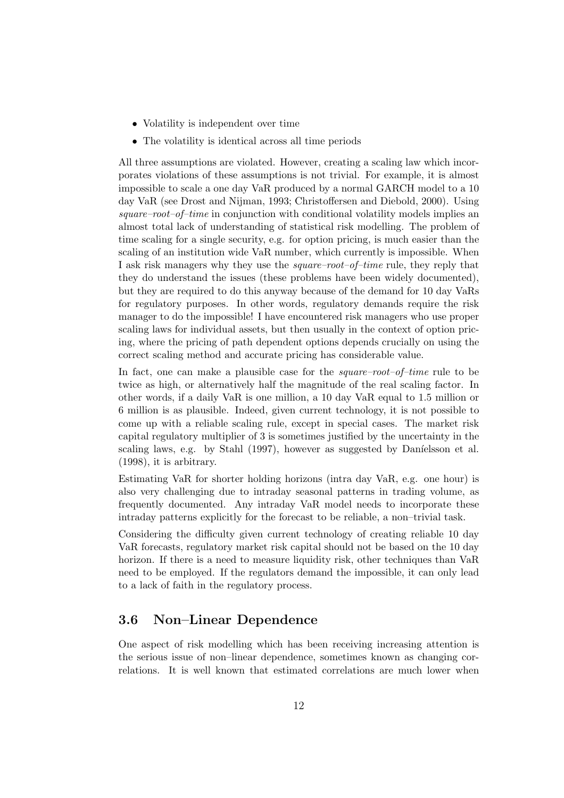- Volatility is independent over time
- The volatility is identical across all time periods

All three assumptions are violated. However, creating a scaling law which incorporates violations of these assumptions is not trivial. For example, it is almost impossible to scale a one day VaR produced by a normal GARCH model to a 10 day VaR (see Drost and Nijman, 1993; Christoffersen and Diebold, 2000). Using *square–root–of–time* in conjunction with conditional volatility models implies an almost total lack of understanding of statistical risk modelling. The problem of time scaling for a single security, e.g. for option pricing, is much easier than the scaling of an institution wide VaR number, which currently is impossible. When I ask risk managers why they use the *square–root–of–time* rule, they reply that they do understand the issues (these problems have been widely documented), but they are required to do this anyway because of the demand for 10 day VaRs for regulatory purposes. In other words, regulatory demands require the risk manager to do the impossible! I have encountered risk managers who use proper scaling laws for individual assets, but then usually in the context of option pricing, where the pricing of path dependent options depends crucially on using the correct scaling method and accurate pricing has considerable value.

In fact, one can make a plausible case for the *square–root–of–time* rule to be twice as high, or alternatively half the magnitude of the real scaling factor. In other words, if a daily VaR is one million, a 10 day VaR equal to 1.5 million or 6 million is as plausible. Indeed, given current technology, it is not possible to come up with a reliable scaling rule, except in special cases. The market risk capital regulatory multiplier of 3 is sometimes justified by the uncertainty in the scaling laws, e.g. by Stahl  $(1997)$ , however as suggested by Daníelsson et al. (1998), it is arbitrary.

Estimating VaR for shorter holding horizons (intra day VaR, e.g. one hour) is also very challenging due to intraday seasonal patterns in trading volume, as frequently documented. Any intraday VaR model needs to incorporate these intraday patterns explicitly for the forecast to be reliable, a non–trivial task.

Considering the difficulty given current technology of creating reliable 10 day VaR forecasts, regulatory market risk capital should not be based on the 10 day horizon. If there is a need to measure liquidity risk, other techniques than VaR need to be employed. If the regulators demand the impossible, it can only lead to a lack of faith in the regulatory process.

#### **3.6 Non–Linear Dependence**

One aspect of risk modelling which has been receiving increasing attention is the serious issue of non–linear dependence, sometimes known as changing correlations. It is well known that estimated correlations are much lower when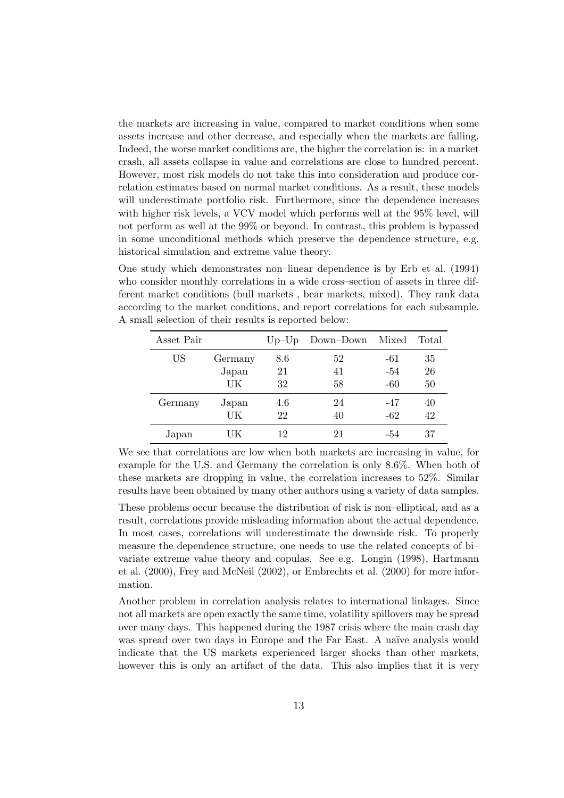the markets are increasing in value, compared to market conditions when some assets increase and other decrease, and especially when the markets are falling. Indeed, the worse market conditions are, the higher the correlation is: in a market crash, all assets collapse in value and correlations are close to hundred percent. However, most risk models do not take this into consideration and produce correlation estimates based on normal market conditions. As a result, these models will underestimate portfolio risk. Furthermore, since the dependence increases with higher risk levels, a VCV model which performs well at the 95% level, will not perform as well at the 99% or beyond. In contrast, this problem is bypassed in some unconditional methods which preserve the dependence structure, e.g. historical simulation and extreme value theory.

One study which demonstrates non–linear dependence is by Erb et al. (1994) who consider monthly correlations in a wide cross–section of assets in three different market conditions (bull markets , bear markets, mixed). They rank data according to the market conditions, and report correlations for each subsample. A small selection of their results is reported below:

| Asset Pair |         | $Up$ –Up | Down-Down Mixed |       | Total |
|------------|---------|----------|-----------------|-------|-------|
| US         | Germany | 8.6      | 52              | -61   | 35    |
|            | Japan   | 21       | 41              | $-54$ | 26    |
|            | UK      | 32       | 58              | -60   | 50    |
| Germany    | Japan   | 4.6      | 24              | $-47$ | 40    |
|            | UK      | 22       | 40              | -62   | 42    |
| Japan      | ΙK      | 12       | 21              | -54   | 37    |

We see that correlations are low when both markets are increasing in value, for example for the U.S. and Germany the correlation is only 8.6%. When both of these markets are dropping in value, the correlation increases to 52%. Similar results have been obtained by many other authors using a variety of data samples.

These problems occur because the distribution of risk is non–elliptical, and as a result, correlations provide misleading information about the actual dependence. In most cases, correlations will underestimate the downside risk. To properly measure the dependence structure, one needs to use the related concepts of bi– variate extreme value theory and copulas. See e.g. Longin (1998), Hartmann et al. (2000), Frey and McNeil (2002), or Embrechts et al. (2000) for more information.

Another problem in correlation analysis relates to international linkages. Since not all markets are open exactly the same time, volatility spillovers may be spread over many days. This happened during the 1987 crisis where the main crash day was spread over two days in Europe and the Far East. A naïve analysis would indicate that the US markets experienced larger shocks than other markets, however this is only an artifact of the data. This also implies that it is very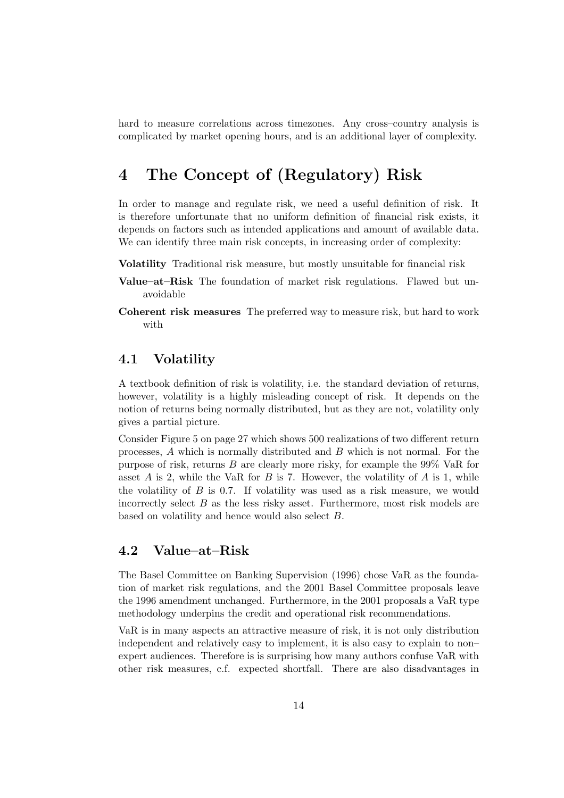hard to measure correlations across timezones. Any cross–country analysis is complicated by market opening hours, and is an additional layer of complexity.

# **4 The Concept of (Regulatory) Risk**

In order to manage and regulate risk, we need a useful definition of risk. It is therefore unfortunate that no uniform definition of financial risk exists, it depends on factors such as intended applications and amount of available data. We can identify three main risk concepts, in increasing order of complexity:

- **Volatility** Traditional risk measure, but mostly unsuitable for financial risk
- **Value–at–Risk** The foundation of market risk regulations. Flawed but unavoidable
- **Coherent risk measures** The preferred way to measure risk, but hard to work with

#### **4.1 Volatility**

A textbook definition of risk is volatility, i.e. the standard deviation of returns, however, volatility is a highly misleading concept of risk. It depends on the notion of returns being normally distributed, but as they are not, volatility only gives a partial picture.

Consider Figure 5 on page 27 which shows 500 realizations of two different return processes,  $A$  which is normally distributed and  $B$  which is not normal. For the purpose of risk, returns B are clearly more risky, for example the 99% VaR for asset A is 2, while the VaR for B is 7. However, the volatility of A is 1, while the volatility of  $B$  is 0.7. If volatility was used as a risk measure, we would incorrectly select  $B$  as the less risky asset. Furthermore, most risk models are based on volatility and hence would also select B.

#### **4.2 Value–at–Risk**

The Basel Committee on Banking Supervision (1996) chose VaR as the foundation of market risk regulations, and the 2001 Basel Committee proposals leave the 1996 amendment unchanged. Furthermore, in the 2001 proposals a VaR type methodology underpins the credit and operational risk recommendations.

VaR is in many aspects an attractive measure of risk, it is not only distribution independent and relatively easy to implement, it is also easy to explain to non– expert audiences. Therefore is is surprising how many authors confuse VaR with other risk measures, c.f. expected shortfall. There are also disadvantages in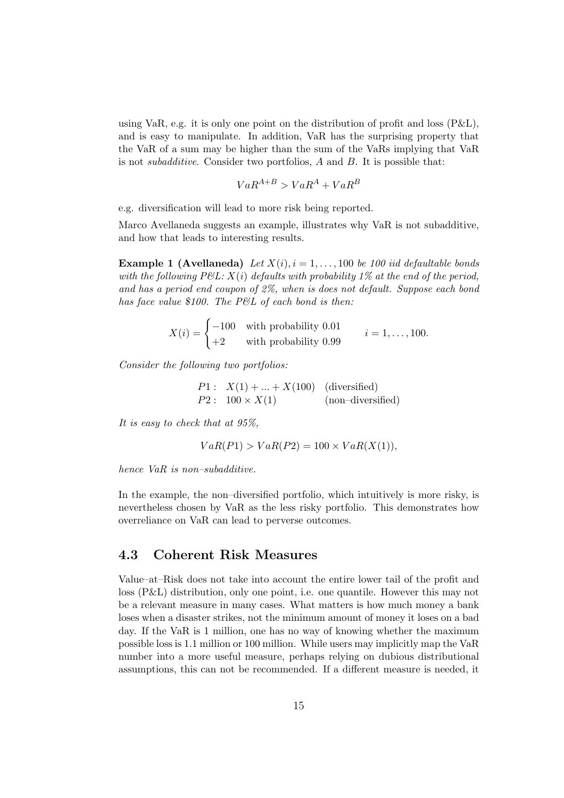using VaR, e.g. it is only one point on the distribution of profit and loss  $(P\&L)$ , and is easy to manipulate. In addition, VaR has the surprising property that the VaR of a sum may be higher than the sum of the VaRs implying that VaR is not *subadditive*. Consider two portfolios, A and B. It is possible that:

$$
VaR^{A+B} > VaR^A + VaR^B
$$

e.g. diversification will lead to more risk being reported.

Marco Avellaneda suggests an example, illustrates why VaR is not subadditive, and how that leads to interesting results.

**Example 1 (Avellaneda)** Let  $X(i)$ ,  $i = 1, \ldots, 100$  be 100 *iid defaultable bonds with the following P&L:* X(i) *defaults with probability 1% at the end of the period, and has a period end coupon of 2%, when is does not default. Suppose each bond has face value* \$*100. The P&L of each bond is then:*

$$
X(i) = \begin{cases} -100 & \text{with probability } 0.01 \\ +2 & \text{with probability } 0.99 \end{cases}
$$
  $i = 1, ..., 100.$ 

*Consider the following two portfolios:*

$$
P1: X(1) + ... + X(100) \quad \text{(diversified)}
$$
  

$$
P2: 100 \times X(1) \quad \text{(non-diversified)}
$$

*It is easy to check that at 95%,*

$$
VaR(P1) > VaR(P2) = 100 \times VaR(X(1)),
$$

*hence VaR is non–subadditive.*

In the example, the non–diversified portfolio, which intuitively is more risky, is nevertheless chosen by VaR as the less risky portfolio. This demonstrates how overreliance on VaR can lead to perverse outcomes.

#### **4.3 Coherent Risk Measures**

Value–at–Risk does not take into account the entire lower tail of the profit and loss (P&L) distribution, only one point, i.e. one quantile. However this may not be a relevant measure in many cases. What matters is how much money a bank loses when a disaster strikes, not the minimum amount of money it loses on a bad day. If the VaR is 1 million, one has no way of knowing whether the maximum possible loss is 1.1 million or 100 million. While users may implicitly map the VaR number into a more useful measure, perhaps relying on dubious distributional assumptions, this can not be recommended. If a different measure is needed, it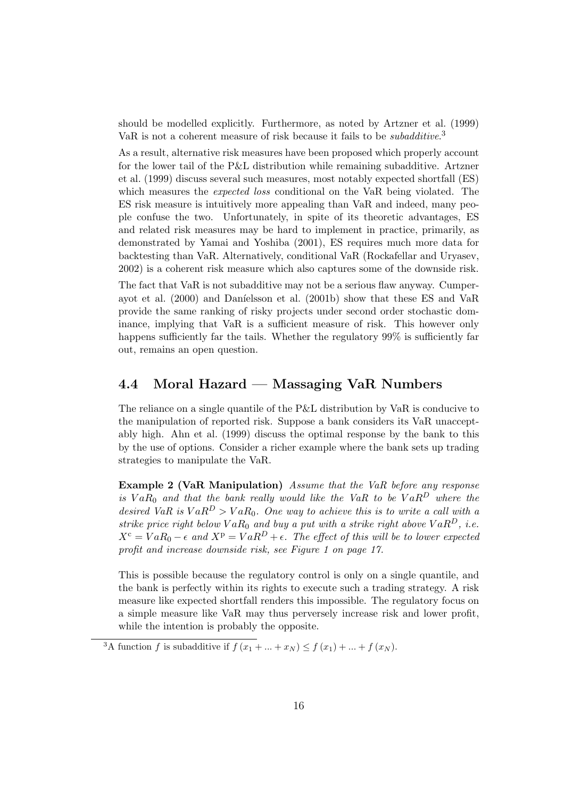should be modelled explicitly. Furthermore, as noted by Artzner et al. (1999) VaR is not a coherent measure of risk because it fails to be *subadditive*. 3

As a result, alternative risk measures have been proposed which properly account for the lower tail of the P&L distribution while remaining subadditive. Artzner et al. (1999) discuss several such measures, most notably expected shortfall (ES) which measures the *expected loss* conditional on the VaR being violated. The ES risk measure is intuitively more appealing than VaR and indeed, many people confuse the two. Unfortunately, in spite of its theoretic advantages, ES and related risk measures may be hard to implement in practice, primarily, as demonstrated by Yamai and Yoshiba (2001), ES requires much more data for backtesting than VaR. Alternatively, conditional VaR (Rockafellar and Uryasev, 2002) is a coherent risk measure which also captures some of the downside risk.

The fact that VaR is not subadditive may not be a serious flaw anyway. Cumperayot et al.  $(2000)$  and Daníelsson et al.  $(2001b)$  show that these ES and VaR provide the same ranking of risky projects under second order stochastic dominance, implying that VaR is a sufficient measure of risk. This however only happens sufficiently far the tails. Whether the regulatory  $99\%$  is sufficiently far out, remains an open question.

#### **4.4 Moral Hazard — Massaging VaR Numbers**

The reliance on a single quantile of the P&L distribution by VaR is conducive to the manipulation of reported risk. Suppose a bank considers its VaR unacceptably high. Ahn et al. (1999) discuss the optimal response by the bank to this by the use of options. Consider a richer example where the bank sets up trading strategies to manipulate the VaR.

**Example 2 (VaR Manipulation)** *Assume that the VaR before any response is*  $VaR_0$  *and that the bank really would like the VaR to be*  $VaR^D$  *where the desired VaR is*  $VaR^D > VaR_0$ *. One way to achieve this is to write a call with a strike price right below*  $VaR_0$  *and buy a put with a strike right above*  $VaR^D$ , *i.e.*  $X^c = VaR_0 - \epsilon$  and  $X^p = VaR^D + \epsilon$ . The effect of this will be to lower expected *profit and increase downside risk, see Figure 1 on page 17.*

This is possible because the regulatory control is only on a single quantile, and the bank is perfectly within its rights to execute such a trading strategy. A risk measure like expected shortfall renders this impossible. The regulatory focus on a simple measure like VaR may thus perversely increase risk and lower profit, while the intention is probably the opposite.

<sup>&</sup>lt;sup>3</sup>A function f is subadditive if  $f(x_1 + ... + x_N) \le f(x_1) + ... + f(x_N)$ .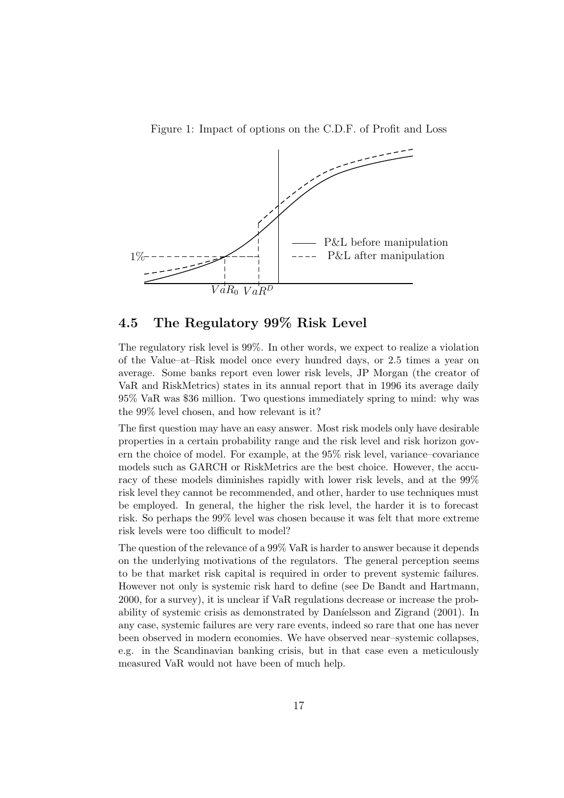



#### **4.5 The Regulatory 99% Risk Level**

The regulatory risk level is 99%. In other words, we expect to realize a violation of the Value–at–Risk model once every hundred days, or 2.5 times a year on average. Some banks report even lower risk levels, JP Morgan (the creator of VaR and RiskMetrics) states in its annual report that in 1996 its average daily 95% VaR was \$36 million. Two questions immediately spring to mind: why was the 99% level chosen, and how relevant is it?

The first question may have an easy answer. Most risk models only have desirable properties in a certain probability range and the risk level and risk horizon govern the choice of model. For example, at the 95% risk level, variance–covariance models such as GARCH or RiskMetrics are the best choice. However, the accuracy of these models diminishes rapidly with lower risk levels, and at the 99% risk level they cannot be recommended, and other, harder to use techniques must be employed. In general, the higher the risk level, the harder it is to forecast risk. So perhaps the 99% level was chosen because it was felt that more extreme risk levels were too difficult to model?

The question of the relevance of a 99% VaR is harder to answer because it depends on the underlying motivations of the regulators. The general perception seems to be that market risk capital is required in order to prevent systemic failures. However not only is systemic risk hard to define (see De Bandt and Hartmann, 2000, for a survey), it is unclear if VaR regulations decrease or increase the probability of systemic crisis as demonstrated by Daníelsson and Zigrand (2001). In any case, systemic failures are very rare events, indeed so rare that one has never been observed in modern economies. We have observed near–systemic collapses, e.g. in the Scandinavian banking crisis, but in that case even a meticulously measured VaR would not have been of much help.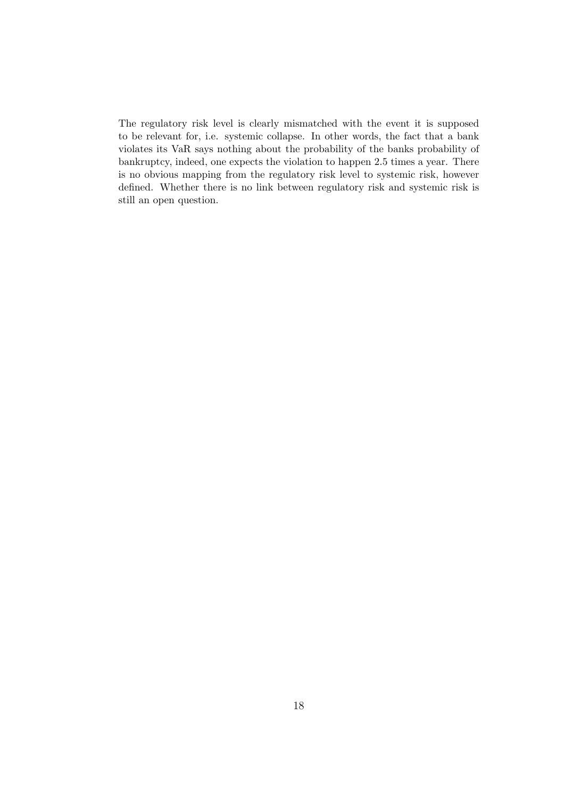The regulatory risk level is clearly mismatched with the event it is supposed to be relevant for, i.e. systemic collapse. In other words, the fact that a bank violates its VaR says nothing about the probability of the banks probability of bankruptcy, indeed, one expects the violation to happen 2.5 times a year. There is no obvious mapping from the regulatory risk level to systemic risk, however defined. Whether there is no link between regulatory risk and systemic risk is still an open question.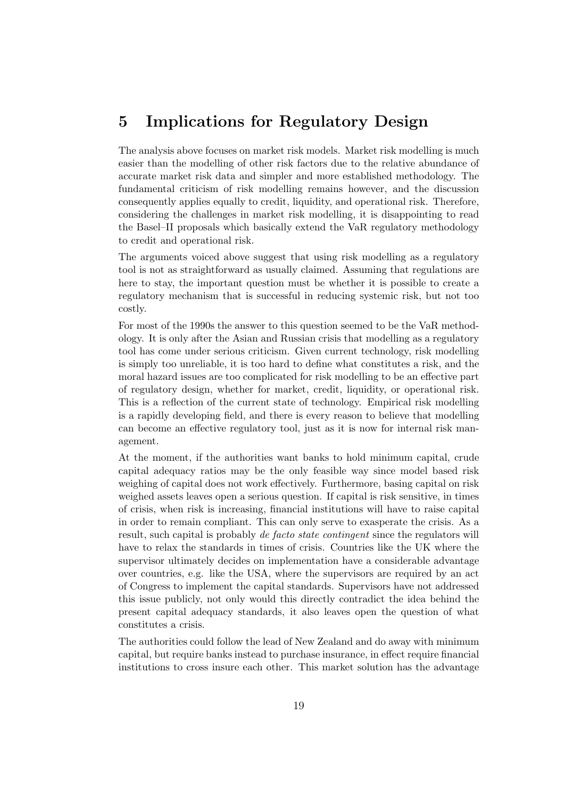### **5 Implications for Regulatory Design**

The analysis above focuses on market risk models. Market risk modelling is much easier than the modelling of other risk factors due to the relative abundance of accurate market risk data and simpler and more established methodology. The fundamental criticism of risk modelling remains however, and the discussion consequently applies equally to credit, liquidity, and operational risk. Therefore, considering the challenges in market risk modelling, it is disappointing to read the Basel–II proposals which basically extend the VaR regulatory methodology to credit and operational risk.

The arguments voiced above suggest that using risk modelling as a regulatory tool is not as straightforward as usually claimed. Assuming that regulations are here to stay, the important question must be whether it is possible to create a regulatory mechanism that is successful in reducing systemic risk, but not too costly.

For most of the 1990s the answer to this question seemed to be the VaR methodology. It is only after the Asian and Russian crisis that modelling as a regulatory tool has come under serious criticism. Given current technology, risk modelling is simply too unreliable, it is too hard to define what constitutes a risk, and the moral hazard issues are too complicated for risk modelling to be an effective part of regulatory design, whether for market, credit, liquidity, or operational risk. This is a reflection of the current state of technology. Empirical risk modelling is a rapidly developing field, and there is every reason to believe that modelling can become an effective regulatory tool, just as it is now for internal risk management.

At the moment, if the authorities want banks to hold minimum capital, crude capital adequacy ratios may be the only feasible way since model based risk weighing of capital does not work effectively. Furthermore, basing capital on risk weighed assets leaves open a serious question. If capital is risk sensitive, in times of crisis, when risk is increasing, financial institutions will have to raise capital in order to remain compliant. This can only serve to exasperate the crisis. As a result, such capital is probably *de facto state contingent* since the regulators will have to relax the standards in times of crisis. Countries like the UK where the supervisor ultimately decides on implementation have a considerable advantage over countries, e.g. like the USA, where the supervisors are required by an act of Congress to implement the capital standards. Supervisors have not addressed this issue publicly, not only would this directly contradict the idea behind the present capital adequacy standards, it also leaves open the question of what constitutes a crisis.

The authorities could follow the lead of New Zealand and do away with minimum capital, but require banks instead to purchase insurance, in effect require financial institutions to cross insure each other. This market solution has the advantage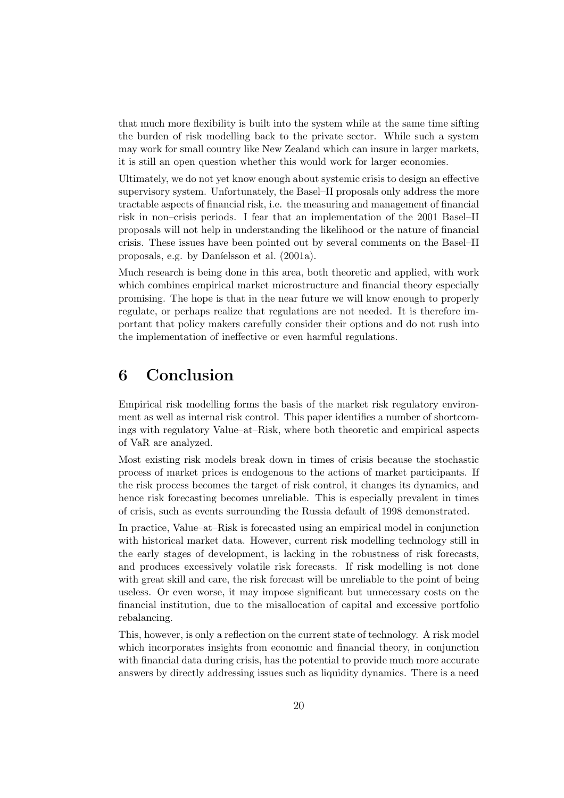that much more flexibility is built into the system while at the same time sifting the burden of risk modelling back to the private sector. While such a system may work for small country like New Zealand which can insure in larger markets, it is still an open question whether this would work for larger economies.

Ultimately, we do not yet know enough about systemic crisis to design an effective supervisory system. Unfortunately, the Basel–II proposals only address the more tractable aspects of financial risk, i.e. the measuring and management of financial risk in non–crisis periods. I fear that an implementation of the 2001 Basel–II proposals will not help in understanding the likelihood or the nature of financial crisis. These issues have been pointed out by several comments on the Basel–II proposals, e.g. by Daníelsson et al. (2001a).

Much research is being done in this area, both theoretic and applied, with work which combines empirical market microstructure and financial theory especially promising. The hope is that in the near future we will know enough to properly regulate, or perhaps realize that regulations are not needed. It is therefore important that policy makers carefully consider their options and do not rush into the implementation of ineffective or even harmful regulations.

# **6 Conclusion**

Empirical risk modelling forms the basis of the market risk regulatory environment as well as internal risk control. This paper identifies a number of shortcomings with regulatory Value–at–Risk, where both theoretic and empirical aspects of VaR are analyzed.

Most existing risk models break down in times of crisis because the stochastic process of market prices is endogenous to the actions of market participants. If the risk process becomes the target of risk control, it changes its dynamics, and hence risk forecasting becomes unreliable. This is especially prevalent in times of crisis, such as events surrounding the Russia default of 1998 demonstrated.

In practice, Value–at–Risk is forecasted using an empirical model in conjunction with historical market data. However, current risk modelling technology still in the early stages of development, is lacking in the robustness of risk forecasts, and produces excessively volatile risk forecasts. If risk modelling is not done with great skill and care, the risk forecast will be unreliable to the point of being useless. Or even worse, it may impose significant but unnecessary costs on the financial institution, due to the misallocation of capital and excessive portfolio rebalancing.

This, however, is only a reflection on the current state of technology. A risk model which incorporates insights from economic and financial theory, in conjunction with financial data during crisis, has the potential to provide much more accurate answers by directly addressing issues such as liquidity dynamics. There is a need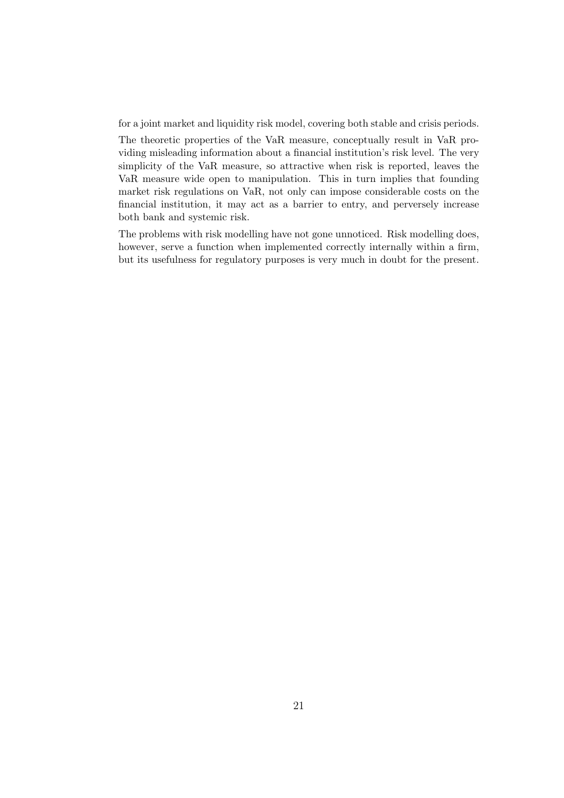for a joint market and liquidity risk model, covering both stable and crisis periods.

The theoretic properties of the VaR measure, conceptually result in VaR providing misleading information about a financial institution's risk level. The very simplicity of the VaR measure, so attractive when risk is reported, leaves the VaR measure wide open to manipulation. This in turn implies that founding market risk regulations on VaR, not only can impose considerable costs on the financial institution, it may act as a barrier to entry, and perversely increase both bank and systemic risk.

The problems with risk modelling have not gone unnoticed. Risk modelling does, however, serve a function when implemented correctly internally within a firm, but its usefulness for regulatory purposes is very much in doubt for the present.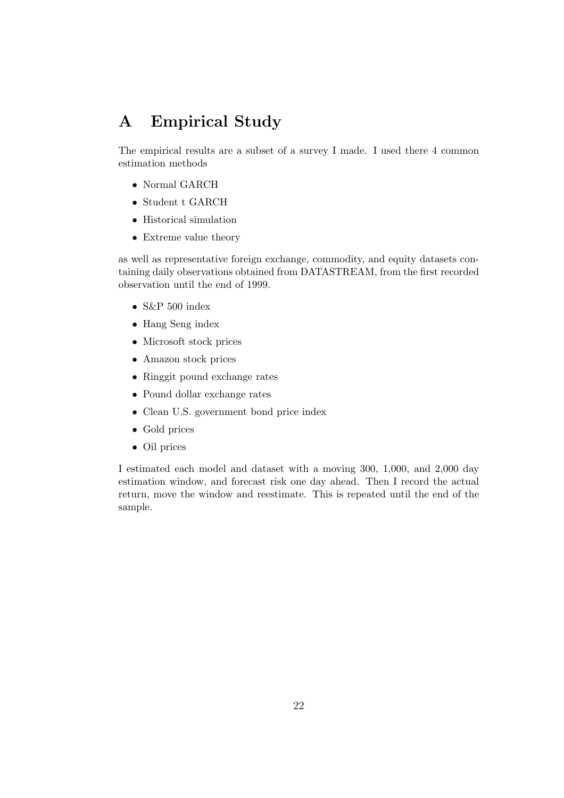# **A Empirical Study**

The empirical results are a subset of a survey I made. I used there 4 common estimation methods

- Normal GARCH
- Student t GARCH
- Historical simulation
- Extreme value theory

as well as representative foreign exchange, commodity, and equity datasets containing daily observations obtained from DATASTREAM, from the first recorded observation until the end of 1999.

- $S\&P500$  index
- Hang Seng index
- Microsoft stock prices
- Amazon stock prices
- Ringgit pound exchange rates
- Pound dollar exchange rates
- Clean U.S. government bond price index
- Gold prices
- Oil prices

I estimated each model and dataset with a moving 300, 1,000, and 2,000 day estimation window, and forecast risk one day ahead. Then I record the actual return, move the window and reestimate. This is repeated until the end of the sample.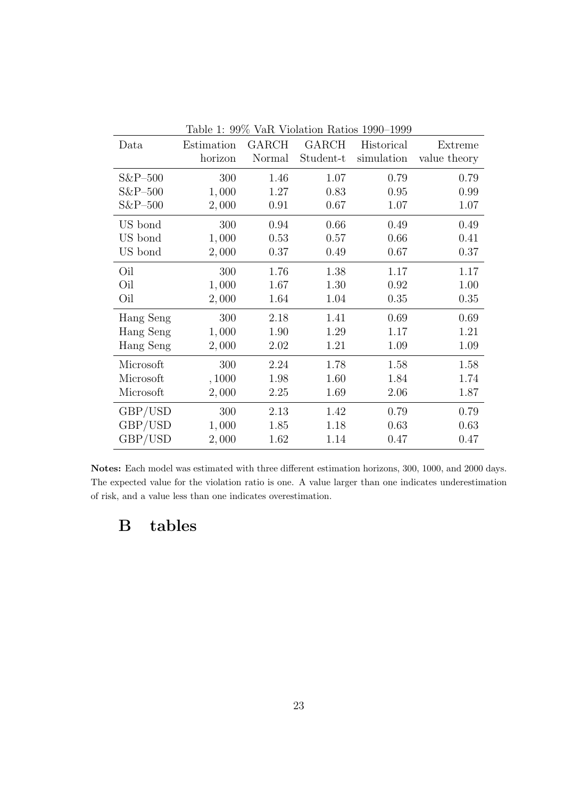| Data       | Estimation | <b>GARCH</b> | GARCH     | Historical | Extreme      |
|------------|------------|--------------|-----------|------------|--------------|
|            | horizon    | Normal       | Student-t | simulation | value theory |
| $S\&P-500$ | 300        | 1.46         | 1.07      | 0.79       | 0.79         |
| $S\&P-500$ | 1,000      | 1.27         | 0.83      | 0.95       | 0.99         |
| $S\&P-500$ | 2,000      | 0.91         | 0.67      | 1.07       | 1.07         |
| US bond    | 300        | 0.94         | 0.66      | 0.49       | 0.49         |
| US bond    | 1,000      | 0.53         | 0.57      | 0.66       | 0.41         |
| US bond    | 2,000      | 0.37         | 0.49      | 0.67       | 0.37         |
| Oil        | 300        | 1.76         | 1.38      | 1.17       | 1.17         |
| Oil        | 1,000      | 1.67         | 1.30      | 0.92       | 1.00         |
| Oil        | 2,000      | 1.64         | 1.04      | 0.35       | 0.35         |
| Hang Seng  | 300        | 2.18         | 1.41      | 0.69       | 0.69         |
| Hang Seng  | 1,000      | 1.90         | 1.29      | 1.17       | 1.21         |
| Hang Seng  | 2,000      | 2.02         | 1.21      | 1.09       | 1.09         |
| Microsoft  | 300        | 2.24         | 1.78      | 1.58       | 1.58         |
| Microsoft  | ,1000      | 1.98         | 1.60      | 1.84       | 1.74         |
| Microsoft  | 2,000      | 2.25         | 1.69      | 2.06       | 1.87         |
| GBP/USD    | 300        | 2.13         | 1.42      | 0.79       | 0.79         |
| GBP/USD    | 1,000      | 1.85         | 1.18      | 0.63       | 0.63         |
| GBP/USD    | 2,000      | 1.62         | 1.14      | 0.47       | 0.47         |

Table 1: 99% VaR Violation Ratios 1990–1999

**Notes:** Each model was estimated with three different estimation horizons, 300, 1000, and 2000 days. The expected value for the violation ratio is one. A value larger than one indicates underestimation of risk, and a value less than one indicates overestimation.

# **B tables**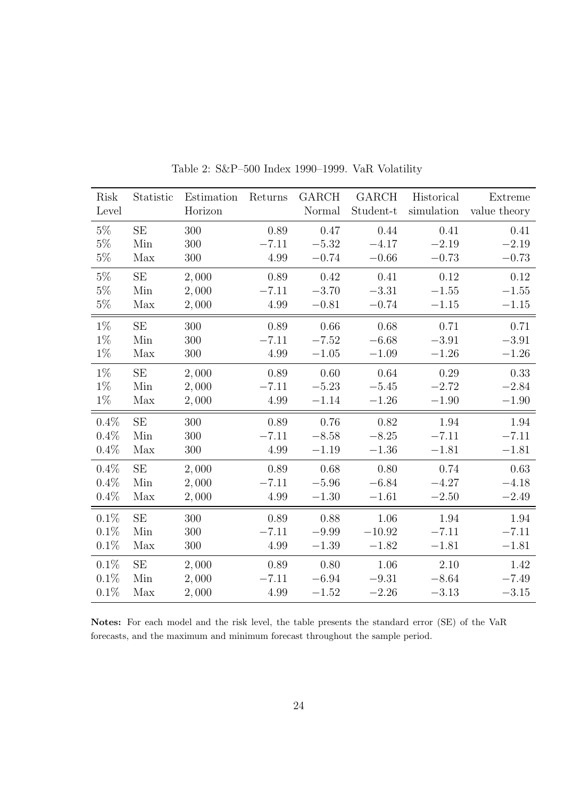| Risk<br>Level | Statistic | Estimation<br>Horizon | Returns   | <b>GARCH</b><br>Normal | <b>GARCH</b><br>Student-t | Historical<br>simulation | Extreme<br>value theory |
|---------------|-----------|-----------------------|-----------|------------------------|---------------------------|--------------------------|-------------------------|
| $5\%$         | <b>SE</b> | 300                   | 0.89      | 0.47                   | 0.44                      | 0.41                     | 0.41                    |
| $5\%$         | Min       | 300                   | $-7.11$   | $-5.32$                | $-4.17$                   | $-2.19$                  | $-2.19\,$               |
| $5\%$         | Max       | 300                   | 4.99      | $-0.74$                | $-0.66$                   | $-0.73$                  | $-0.73$                 |
| $5\%$         | SE        | 2,000                 | 0.89      | 0.42                   | 0.41                      | 0.12                     | 0.12                    |
| $5\%$         | Min       | 2,000                 | $-7.11$   | $-3.70$                | $-3.31$                   | $-1.55$                  | $-1.55$                 |
| $5\%$         | Max       | 2,000                 | 4.99      | $-0.81$                | $-0.74$                   | $-1.15$                  | $-1.15$                 |
| $1\%$         | <b>SE</b> | 300                   | 0.89      | 0.66                   | 0.68                      | 0.71                     | 0.71                    |
| $1\%$         | Min       | 300                   | $-7.11$   | $-7.52$                | $-6.68$                   | $-3.91$                  | $-3.91$                 |
| $1\%$         | Max       | 300                   | 4.99      | $-1.05$                | $-1.09$                   | $-1.26$                  | $-1.26$                 |
| $1\%$         | SE        | 2,000                 | 0.89      | 0.60                   | 0.64                      | 0.29                     | 0.33                    |
| $1\%$         | Min       | 2,000                 | $-7.11$   | $-5.23$                | $-5.45$                   | $-2.72$                  | $-2.84$                 |
| $1\%$         | Max       | 2,000                 | 4.99      | $-1.14$                | $-1.26$                   | $-1.90$                  | $-1.90$                 |
| 0.4%          | SE        | 300                   | 0.89      | 0.76                   | 0.82                      | 1.94                     | 1.94                    |
| 0.4%          | Min       | 300                   | $-7.11$   | $-8.58$                | $-8.25$                   | $-7.11$                  | $-7.11$                 |
| $0.4\%$       | Max       | 300                   | 4.99      | $-1.19$                | $-1.36$                   | $-1.81$                  | $-1.81$                 |
| 0.4%          | SE        | 2,000                 | 0.89      | 0.68                   | 0.80                      | 0.74                     | 0.63                    |
| $0.4\%$       | Min       | 2,000                 | $-7.11$   | $-5.96$                | $-6.84$                   | $-4.27$                  | $-4.18$                 |
| $0.4\%$       | Max       | 2,000                 | 4.99      | $-1.30$                | $-1.61$                   | $-2.50$                  | $-2.49$                 |
| 0.1%          | SE        | 300                   | 0.89      | 0.88                   | 1.06                      | 1.94                     | 1.94                    |
| 0.1%          | Min       | 300                   | $-7.11$   | $-9.99$                | $-10.92$                  | $-7.11$                  | $-7.11$                 |
| 0.1%          | Max       | 300                   | 4.99      | $-1.39$                | $-1.82$                   | $-1.81$                  | $-1.81$                 |
| 0.1%          | SE        | 2,000                 | 0.89      | 0.80                   | 1.06                      | 2.10                     | 1.42                    |
| 0.1%          | Min       | 2,000                 | $-7.11\,$ | $-6.94$                | $-9.31$                   | $-8.64$                  | $-7.49$                 |
| 0.1%          | Max       | 2,000                 | 4.99      | $-1.52$                | $-2.26$                   | $-3.13$                  | $-3.15$                 |

Table 2: S&P–500 Index 1990–1999. VaR Volatility

**Notes:** For each model and the risk level, the table presents the standard error (SE) of the VaR forecasts, and the maximum and minimum forecast throughout the sample period.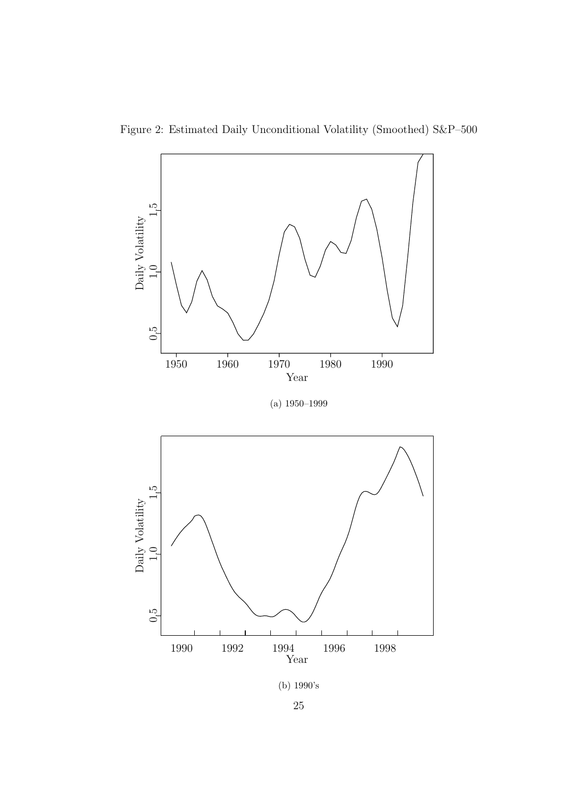Figure 2: Estimated Daily Unconditional Volatility (Smoothed) S&P–500



(a) 1950–1999

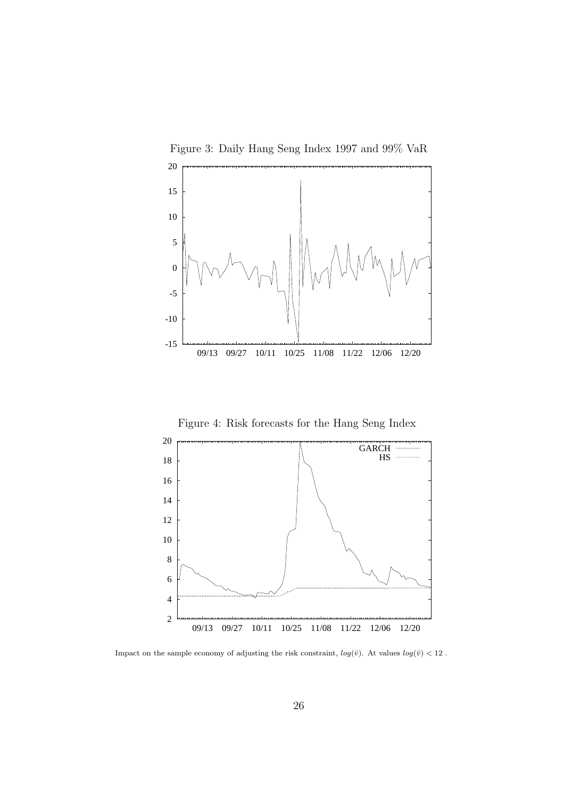Figure 3: Daily Hang Seng Index 1997 and 99% VaR



Figure 4: Risk forecasts for the Hang Seng Index



Impact on the sample economy of adjusting the risk constraint,  $\log(\bar{v})$ . At values  $\log(\bar{v}) < 12$  .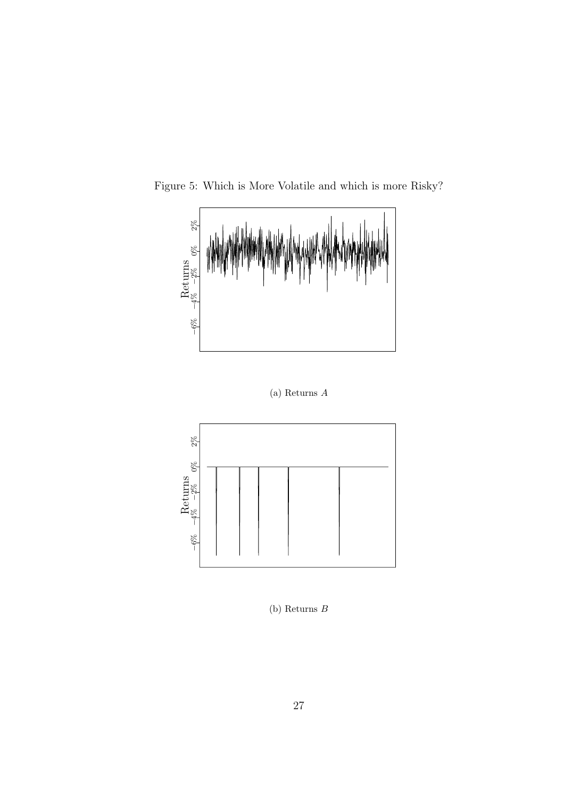

Figure 5: Which is More Volatile and which is more Risky?

(a) Returns A



(b) Returns  $B$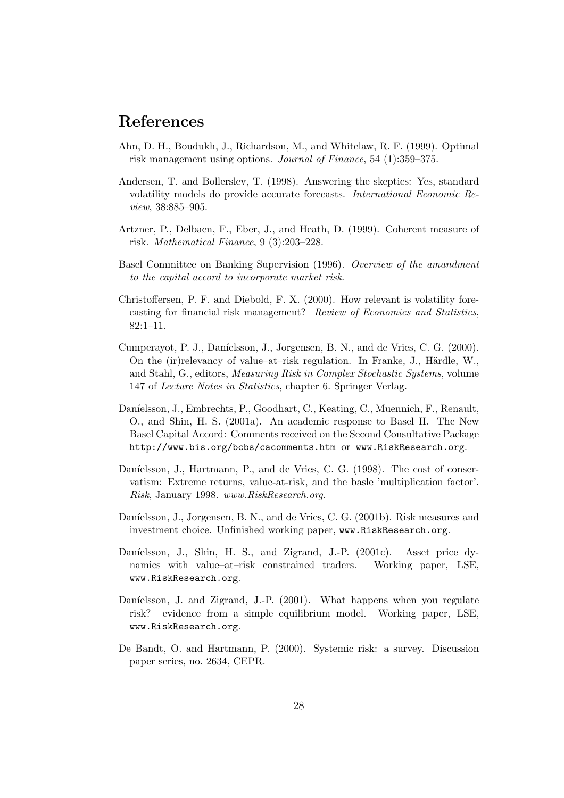# **References**

- Ahn, D. H., Boudukh, J., Richardson, M., and Whitelaw, R. F. (1999). Optimal risk management using options. *Journal of Finance*, 54 (1):359–375.
- Andersen, T. and Bollerslev, T. (1998). Answering the skeptics: Yes, standard volatility models do provide accurate forecasts. *International Economic Review*, 38:885–905.
- Artzner, P., Delbaen, F., Eber, J., and Heath, D. (1999). Coherent measure of risk. *Mathematical Finance*, 9 (3):203–228.
- Basel Committee on Banking Supervision (1996). *Overview of the amandment to the capital accord to incorporate market risk*.
- Christoffersen, P. F. and Diebold, F. X. (2000). How relevant is volatility forecasting for financial risk management? *Review of Economics and Statistics*, 82:1–11.
- Cumperayot, P. J., Daníelsson, J., Jorgensen, B. N., and de Vries, C. G. (2000). On the (ir)relevancy of value–at–risk regulation. In Franke, J., Härdle, W., and Stahl, G., editors, *Measuring Risk in Complex Stochastic Systems*, volume 147 of *Lecture Notes in Statistics*, chapter 6. Springer Verlag.
- Daníelsson, J., Embrechts, P., Goodhart, C., Keating, C., Muennich, F., Renault, O., and Shin, H. S. (2001a). An academic response to Basel II. The New Basel Capital Accord: Comments received on the Second Consultative Package http://www.bis.org/bcbs/cacomments.htm or www.RiskResearch.org.
- Daníelsson, J., Hartmann, P., and de Vries, C. G. (1998). The cost of conservatism: Extreme returns, value-at-risk, and the basle 'multiplication factor'. *Risk*, January 1998. *www.RiskResearch.org*.
- Daníelsson, J., Jorgensen, B. N., and de Vries, C. G. (2001b). Risk measures and investment choice. Unfinished working paper, www.RiskResearch.org.
- Daníelsson, J., Shin, H. S., and Zigrand, J.-P. (2001c). Asset price dynamics with value–at–risk constrained traders. Working paper, LSE, www.RiskResearch.org.
- Daníelsson, J. and Zigrand, J.-P. (2001). What happens when you regulate risk? evidence from a simple equilibrium model. Working paper, LSE, www.RiskResearch.org.
- De Bandt, O. and Hartmann, P. (2000). Systemic risk: a survey. Discussion paper series, no. 2634, CEPR.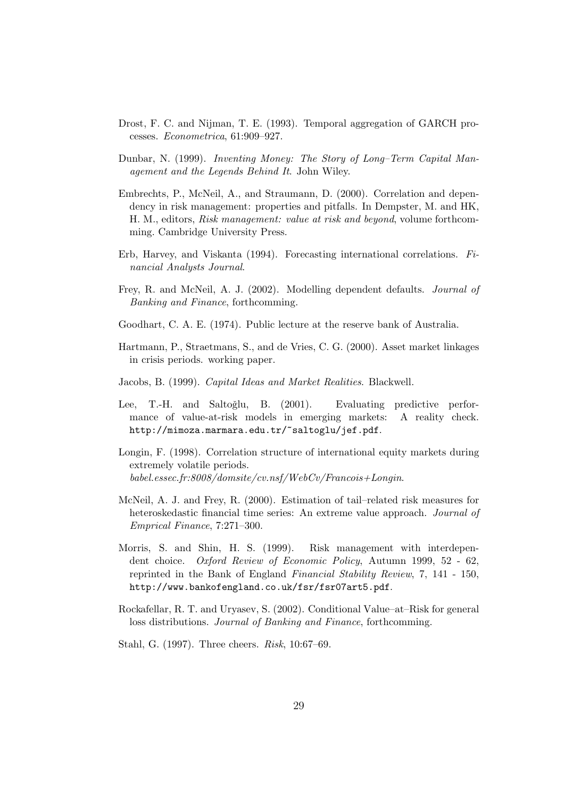- Drost, F. C. and Nijman, T. E. (1993). Temporal aggregation of GARCH processes. *Econometrica*, 61:909–927.
- Dunbar, N. (1999). *Inventing Money: The Story of Long–Term Capital Management and the Legends Behind It*. John Wiley.
- Embrechts, P., McNeil, A., and Straumann, D. (2000). Correlation and dependency in risk management: properties and pitfalls. In Dempster, M. and HK, H. M., editors, *Risk management: value at risk and beyond*, volume forthcomming. Cambridge University Press.
- Erb, Harvey, and Viskanta (1994). Forecasting international correlations. *Financial Analysts Journal*.
- Frey, R. and McNeil, A. J. (2002). Modelling dependent defaults. *Journal of Banking and Finance*, forthcomming.
- Goodhart, C. A. E. (1974). Public lecture at the reserve bank of Australia.
- Hartmann, P., Straetmans, S., and de Vries, C. G. (2000). Asset market linkages in crisis periods. working paper.
- Jacobs, B. (1999). *Capital Ideas and Market Realities*. Blackwell.
- Lee, T.-H. and Saltoğlu, B. (2001). Evaluating predictive performance of value-at-risk models in emerging markets: A reality check. http://mimoza.marmara.edu.tr/~saltoglu/jef.pdf.
- Longin, F. (1998). Correlation structure of international equity markets during extremely volatile periods. *babel.essec.fr:8008/domsite/cv.nsf/WebCv/Francois+Longin*.
- McNeil, A. J. and Frey, R. (2000). Estimation of tail–related risk measures for heteroskedastic financial time series: An extreme value approach. *Journal of Emprical Finance*, 7:271–300.
- Morris, S. and Shin, H. S. (1999). Risk management with interdependent choice. *Oxford Review of Economic Policy*, Autumn 1999, 52 - 62, reprinted in the Bank of England *Financial Stability Review*, 7, 141 - 150, http://www.bankofengland.co.uk/fsr/fsr07art5.pdf.
- Rockafellar, R. T. and Uryasev, S. (2002). Conditional Value–at–Risk for general loss distributions. *Journal of Banking and Finance*, forthcomming.
- Stahl, G. (1997). Three cheers. *Risk*, 10:67–69.